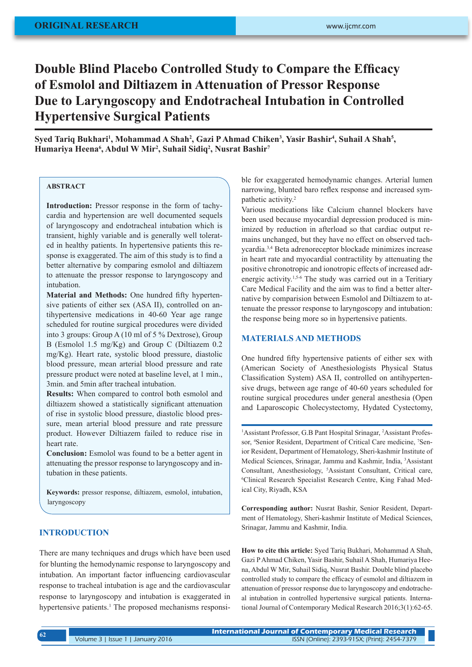# **Double Blind Placebo Controlled Study to Compare the Efficacy of Esmolol and Diltiazem in Attenuation of Pressor Response Due to Laryngoscopy and Endotracheal Intubation in Controlled Hypertensive Surgical Patients**

Syed Tariq Bukhari<sup>1</sup>, Mohammad A Shah<sup>2</sup>, Gazi P Ahmad Chiken<sup>3</sup>, Yasir Bashir<sup>4</sup>, Suhail A Shah<sup>5</sup>, **Humariya Heena6 , Abdul W Mir2 , Suhail Sidiq2 , Nusrat Bashir7**

# **ABSTRACT**

**Introduction:** Pressor response in the form of tachycardia and hypertension are well documented sequels of laryngoscopy and endotracheal intubation which is transient, highly variable and is generally well tolerated in healthy patients. In hypertensive patients this response is exaggerated. The aim of this study is to find a better alternative by comparing esmolol and diltiazem to attenuate the pressor response to laryngoscopy and intubation.

**Material and Methods:** One hundred fifty hypertensive patients of either sex (ASA II), controlled on antihypertensive medications in 40-60 Year age range scheduled for routine surgical procedures were divided into 3 groups: Group A (10 ml of 5 % Dextrose), Group B (Esmolol 1.5 mg/Kg) and Group C (Diltiazem 0.2 mg/Kg). Heart rate, systolic blood pressure, diastolic blood pressure, mean arterial blood pressure and rate pressure product were noted at baseline level, at 1 min., 3min. and 5min after tracheal intubation.

**Results:** When compared to control both esmolol and diltiazem showed a statistically significant attenuation of rise in systolic blood pressure, diastolic blood pressure, mean arterial blood pressure and rate pressure product. However Diltiazem failed to reduce rise in heart rate.

**Conclusion:** Esmolol was found to be a better agent in attenuating the pressor response to laryngoscopy and intubation in these patients.

**Keywords:** pressor response, diltiazem, esmolol, intubation, laryngoscopy

# **INTRODUCTION**

There are many techniques and drugs which have been used for blunting the hemodynamic response to laryngoscopy and intubation. An important factor influencing cardiovascular response to tracheal intubation is age and the cardiovascular response to laryngoscopy and intubation is exaggerated in hypertensive patients.<sup>1</sup> The proposed mechanisms responsible for exaggerated hemodynamic changes. Arterial lumen narrowing, blunted baro reflex response and increased sympathetic activity.2

Various medications like Calcium channel blockers have been used because myocardial depression produced is minimized by reduction in afterload so that cardiac output remains unchanged, but they have no effect on observed tachycardia.3,4 Beta adrenoreceptor blockade minimizes increase in heart rate and myocardial contractility by attenuating the positive chronotropic and ionotropic effects of increased adrenergic activity.<sup>1,5-6</sup> The study was carried out in a Teritiary Care Medical Facility and the aim was to find a better alternative by comparision between Esmolol and Diltiazem to attenuate the pressor response to laryngoscopy and intubation: the response being more so in hypertensive patients.

### **MATERIALS AND METHODS**

One hundred fifty hypertensive patients of either sex with (American Society of Anesthesiologists Physical Status Classification System) ASA II, controlled on antihypertensive drugs, between age range of 40-60 years scheduled for routine surgical procedures under general anesthesia (Open and Laparoscopic Cholecystectomy, Hydated Cystectomy,

<sup>1</sup>Assistant Professor, G.B Pant Hospital Srinagar, <sup>2</sup>Assistant Professor, <sup>4</sup>Senior Resident, Department of Critical Care medicine, <sup>7</sup>Senior Resident, Department of Hematology, Sheri-kashmir Institute of Medical Sciences, Srinagar, Jammu and Kashmir, India, 3 Assistant Consultant, Anesthesiology, 5 Assistant Consultant, Critical care, 6 Clinical Research Specialist Research Centre, King Fahad Medical City, Riyadh, KSA

**Corresponding author:** Nusrat Bashir, Senior Resident, Department of Hematology, Sheri-kashmir Institute of Medical Sciences, Srinagar, Jammu and Kashmir, India.

**How to cite this article:** Syed Tariq Bukhari, Mohammad A Shah, Gazi P Ahmad Chiken, Yasir Bashir, Suhail A Shah, Humariya Heena, Abdul W Mir, Suhail Sidiq, Nusrat Bashir. Double blind placebo controlled study to compare the efficacy of esmolol and diltiazem in attenuation of pressor response due to laryngoscopy and endotracheal intubation in controlled hypertensive surgical patients. International Journal of Contemporary Medical Research 2016;3(1):62-65.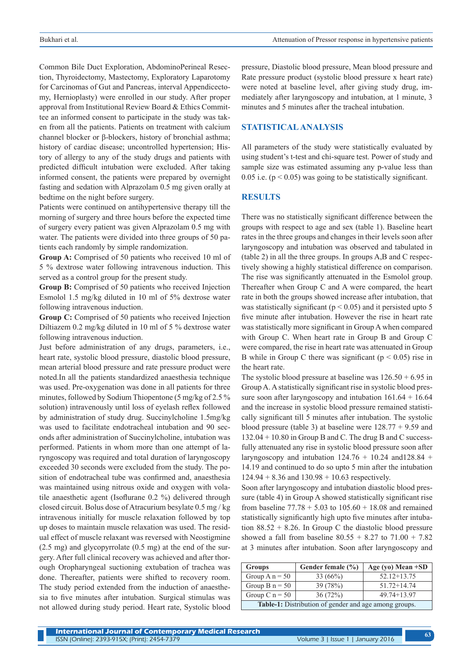Common Bile Duct Exploration, AbdominoPerineal Resection, Thyroidectomy, Mastectomy, Exploratory Laparotomy for Carcinomas of Gut and Pancreas, interval Appendicectomy, Hernioplasty) were enrolled in our study. After proper approval from Institutional Review Board & Ethics Committee an informed consent to participate in the study was taken from all the patients. Patients on treatment with calcium channel blocker or β-blockers, history of bronchial asthma; history of cardiac disease; uncontrolled hypertension; History of allergy to any of the study drugs and patients with predicted difficult intubation were excluded. After taking informed consent, the patients were prepared by overnight fasting and sedation with Alprazolam 0.5 mg given orally at bedtime on the night before surgery.

Patients were continued on antihypertensive therapy till the morning of surgery and three hours before the expected time of surgery every patient was given Alprazolam 0.5 mg with water. The patients were divided into three groups of 50 patients each randomly by simple randomization.

**Group A:** Comprised of 50 patients who received 10 ml of 5 % dextrose water following intravenous induction. This served as a control group for the present study.

**Group B:** Comprised of 50 patients who received Injection Esmolol 1.5 mg/kg diluted in 10 ml of 5% dextrose water following intravenous induction.

**Group C:** Comprised of 50 patients who received Injection Diltiazem 0.2 mg/kg diluted in 10 ml of 5 % dextrose water following intravenous induction.

Just before administration of any drugs, parameters, i.e., heart rate, systolic blood pressure, diastolic blood pressure, mean arterial blood pressure and rate pressure product were noted.In all the patients standardized anaesthesia technique was used. Pre-oxygenation was done in all patients for three minutes, followed by Sodium Thiopentone (5 mg/kg of 2.5 % solution) intravenously until loss of eyelash reflex followed by administration of study drug. Succinylcholine 1.5mg/kg was used to facilitate endotracheal intubation and 90 seconds after administration of Succinylcholine, intubation was performed. Patients in whom more than one attempt of laryngoscopy was required and total duration of laryngoscopy exceeded 30 seconds were excluded from the study. The position of endotracheal tube was confirmed and, anaesthesia was maintained using nitrous oxide and oxygen with volatile anaesthetic agent (Isoflurane 0.2 %) delivered through closed circuit. Bolus dose of Atracurium besylate 0.5 mg / kg intravenous initially for muscle relaxation followed by top up doses to maintain muscle relaxation was used. The residual effect of muscle relaxant was reversed with Neostigmine (2.5 mg) and glycopyrrolate (0.5 mg) at the end of the surgery. After full clinical recovery was achieved and after thorough Oropharyngeal suctioning extubation of trachea was done. Thereafter, patients were shifted to recovery room. The study period extended from the induction of anaesthesia to five minutes after intubation. Surgical stimulas was not allowed during study period. Heart rate, Systolic blood

pressure, Diastolic blood pressure, Mean blood pressure and Rate pressure product (systolic blood pressure x heart rate) were noted at baseline level, after giving study drug, immediately after laryngoscopy and intubation, at 1 minute, 3 minutes and 5 minutes after the tracheal intubation.

#### **STATISTICAL ANALYSIS**

All parameters of the study were statistically evaluated by using student's t-test and chi-square test. Power of study and sample size was estimated assuming any p-value less than 0.05 i.e.  $(p < 0.05)$  was going to be statistically significant.

#### **RESULTS**

There was no statistically significant difference between the groups with respect to age and sex (table 1). Baseline heart rates in the three groups and changes in their levels soon after laryngoscopy and intubation was observed and tabulated in (table 2) in all the three groups. In groups A,B and C respectively showing a highly statistical difference on comparison. The rise was significantly attenuated in the Esmolol group. Thereafter when Group C and A were compared, the heart rate in both the groups showed increase after intubation, that was statistically significant ( $p < 0.05$ ) and it persisted upto 5 five minute after intubation. However the rise in heart rate was statistically more significant in Group A when compared with Group C. When heart rate in Group B and Group C were compared, the rise in heart rate was attenuated in Group B while in Group C there was significant ( $p < 0.05$ ) rise in the heart rate.

The systolic blood pressure at baseline was  $126.50 + 6.95$  in Group A. A statistically significant rise in systolic blood pressure soon after laryngoscopy and intubation  $161.64 + 16.64$ and the increase in systolic blood pressure remained statistically significant till 5 minutes after intubation. The systolic blood pressure (table 3) at baseline were 128.77 + 9.59 and 132.04 + 10.80 in Group B and C. The drug B and C successfully attenuated any rise in systolic blood pressure soon after laryngoscopy and intubation  $124.76 + 10.24$  and  $128.84 +$ 14.19 and continued to do so upto 5 min after the intubation  $124.94 + 8.36$  and  $130.98 + 10.63$  respectively.

Soon after laryngoscopy and intubation diastolic blood pressure (table 4) in Group A showed statistically significant rise from baseline  $77.78 + 5.03$  to  $105.60 + 18.08$  and remained statistically significantly high upto five minutes after intubation  $88.52 + 8.26$ . In Group C the diastolic blood pressure showed a fall from baseline  $80.55 + 8.27$  to  $71.00 + 7.82$ at 3 minutes after intubation. Soon after laryngoscopy and

| <b>Groups</b>                                         | Gender female $(\% )$ | Age (yo) Mean $+SD$ |  |  |  |
|-------------------------------------------------------|-----------------------|---------------------|--|--|--|
| Group $A_n = 50$                                      | 33(66%)               | $52.12 + 13.75$     |  |  |  |
| Group B $n = 50$                                      | 39(78%)               | $51.72 + 14.74$     |  |  |  |
| Group C $n = 50$                                      | 36(72%)               | $49.74 + 13.97$     |  |  |  |
| Table-1: Distribution of gender and age among groups. |                       |                     |  |  |  |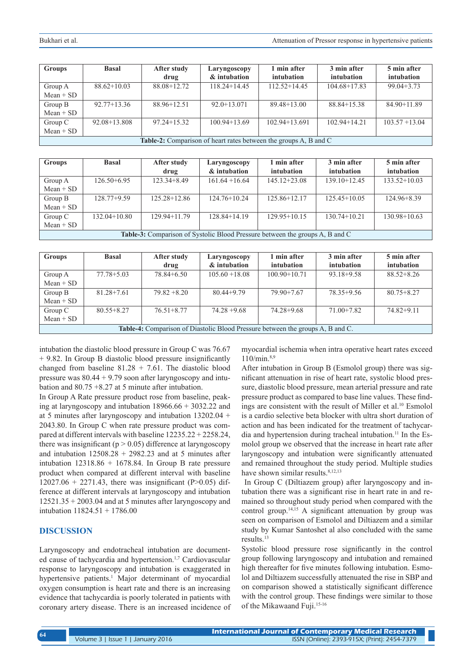| <b>Groups</b>                                                    | <b>Basal</b>     | After study     | Laryngoscopy     | l min after       | 3 min after      | 5 min after      |
|------------------------------------------------------------------|------------------|-----------------|------------------|-------------------|------------------|------------------|
|                                                                  |                  | drug            | & intubation     | intubation        | intubation       | intubation       |
| Group A                                                          | $88.62+10.03$    | 88.08+12.72     | $118.24 + 14.45$ | $112.52 + 14.45$  | $104.68 + 17.83$ | $99.04 + 3.73$   |
| $Mean + SD$                                                      |                  |                 |                  |                   |                  |                  |
| Group B                                                          | $92.77 + 13.36$  | 88.96+12.51     | $92.0 + 13.071$  | $89.48 + 13.00$   | $88.84 + 15.38$  | $84.90 + 11.89$  |
| $Mean + SD$                                                      |                  |                 |                  |                   |                  |                  |
| Group C                                                          | $92.08 + 13.808$ | $97.24 + 15.32$ | $100.94 + 13.69$ | $102.94 + 13.691$ | $102.94 + 14.21$ | $103.57 + 13.04$ |
| $Mean + SD$                                                      |                  |                 |                  |                   |                  |                  |
| Table-2: Comparison of heart rates between the groups A, B and C |                  |                 |                  |                   |                  |                  |

| <b>Groups</b>                                                                       | <b>Basal</b>     | After study<br>drug | Laryngoscopy<br>& intubation | 1 min after<br>intubation | 3 min after<br>intubation | 5 min after<br>intubation |
|-------------------------------------------------------------------------------------|------------------|---------------------|------------------------------|---------------------------|---------------------------|---------------------------|
| Group A                                                                             | $126.50 + 6.95$  | $123.34 + 8.49$     | $161.64 + 16.64$             | $145.12 + 23.08$          | $139.10 + 12.45$          | $133.52+10.03$            |
| $Mean + SD$                                                                         |                  |                     |                              |                           |                           |                           |
| Group B                                                                             | $128.77+9.59$    | $125.28 + 12.86$    | $124.76 + 10.24$             | $125.86 + 12.17$          | $125.45+10.05$            | $124.96 + 8.39$           |
| $Mean + SD$                                                                         |                  |                     |                              |                           |                           |                           |
| Group $C$                                                                           | $132.04 + 10.80$ | $129.94 + 11.79$    | $128.84 + 14.19$             | $129.95 + 10.15$          | $130.74 + 10.21$          | $130.98 + 10.63$          |
| $Mean + SD$                                                                         |                  |                     |                              |                           |                           |                           |
| <b>Table-3:</b> Comparison of Systolic Blood Pressure between the groups A, B and C |                  |                     |                              |                           |                           |                           |

| <b>Groups</b>                                                                         | <b>Basal</b>   | After study    | Laryngoscopy     | 1 min after      | 3 min after    | 5 min after    |
|---------------------------------------------------------------------------------------|----------------|----------------|------------------|------------------|----------------|----------------|
|                                                                                       |                | drug           | & intubation     | intubation       | intubation     | intubation     |
| Group A                                                                               | $77.78 + 5.03$ | $78.84 + 6.50$ | $105.60 + 18.08$ | $100.90 + 10.71$ | $93.18 + 9.58$ | $88.52 + 8.26$ |
| $Mean + SD$                                                                           |                |                |                  |                  |                |                |
| Group B                                                                               | $81.28 + 7.61$ | $79.82 + 8.20$ | $80.44 + 9.79$   | $79.90 + 7.67$   | 78.35+9.56     | $80.75 + 8.27$ |
| $Mean + SD$                                                                           |                |                |                  |                  |                |                |
| Group $C$                                                                             | $80.55 + 8.27$ | $76.51 + 8.77$ | $74.28 + 9.68$   | 74.28+9.68       | $71.00 + 7.82$ | $74.82+9.11$   |
| $Mean + SD$                                                                           |                |                |                  |                  |                |                |
| <b>Table-4:</b> Comparison of Diastolic Blood Pressure between the groups A, B and C. |                |                |                  |                  |                |                |

intubation the diastolic blood pressure in Group C was 76.67 + 9.82. In Group B diastolic blood pressure insignificantly changed from baseline  $81.28 + 7.61$ . The diastolic blood pressure was 80.44 + 9.79 soon after laryngoscopy and intubation and 80.75 +8.27 at 5 minute after intubation.

In Group A Rate pressure product rose from baseline, peaking at laryngoscopy and intubation 18966.66 + 3032.22 and at 5 minutes after laryngoscopy and intubation 13202.04 + 2043.80. In Group C when rate pressure product was compared at different intervals with baseline 12235.22 + 2258.24, there was insignificant ( $p > 0.05$ ) difference at laryngoscopy and intubation  $12508.28 + 2982.23$  and at 5 minutes after intubation  $12318.86 + 1678.84$ . In Group B rate pressure product when compared at different interval with baseline  $12027.06 + 2271.43$ , there was insignificant (P $> 0.05$ ) difference at different intervals at laryngoscopy and intubation 12521.35 + 2003.04 and at 5 minutes after laryngoscopy and intubation 11824.51 + 1786.00

#### **DISCUSSION**

Laryngoscopy and endotracheal intubation are documented cause of tachycardia and hypertension.<sup>1,7</sup> Cardiovascular response to laryngoscopy and intubation is exaggerated in hypertensive patients.<sup>1</sup> Major determinant of myocardial oxygen consumption is heart rate and there is an increasing evidence that tachycardia is poorly tolerated in patients with coronary artery disease. There is an increased incidence of

myocardial ischemia when intra operative heart rates exceed  $110/min^{8,9}$ 

After intubation in Group B (Esmolol group) there was significant attenuation in rise of heart rate, systolic blood pressure, diastolic blood pressure, mean arterial pressure and rate pressure product as compared to base line values. These findings are consistent with the result of Miller et al.10 Esmolol is a cardio selective beta blocker with ultra short duration of action and has been indicated for the treatment of tachycardia and hypertension during tracheal intubation.<sup>11</sup> In the Esmolol group we observed that the increase in heart rate after laryngoscopy and intubation were significantly attenuated and remained throughout the study period. Multiple studies have shown similar results.<sup>8,12,13</sup>

 In Group C (Diltiazem group) after laryngoscopy and intubation there was a significant rise in heart rate in and remained so throughout study period when compared with the control group.<sup>14,15</sup> A significant attenuation by group was seen on comparison of Esmolol and Diltiazem and a similar study by Kumar Santoshet al also concluded with the same results.13

Systolic blood pressure rose significantly in the control group following laryngoscopy and intubation and remained high thereafter for five minutes following intubation. Esmolol and Diltiazem successfully attenuated the rise in SBP and on comparison showed a statistically significant difference with the control group. These findings were similar to those of the Mikawaand Fuji.15-16